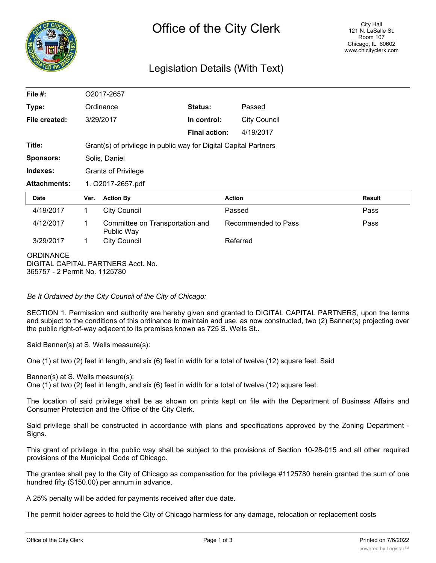

# Legislation Details (With Text)

| File $#$ :                                        | O2017-2657                                                       |                                               |                      |                     |               |
|---------------------------------------------------|------------------------------------------------------------------|-----------------------------------------------|----------------------|---------------------|---------------|
| Type:                                             | Ordinance                                                        |                                               | Status:              | Passed              |               |
| File created:                                     |                                                                  | 3/29/2017                                     | In control:          | <b>City Council</b> |               |
|                                                   |                                                                  |                                               | <b>Final action:</b> | 4/19/2017           |               |
| Title:                                            | Grant(s) of privilege in public way for Digital Capital Partners |                                               |                      |                     |               |
| <b>Sponsors:</b>                                  | Solis, Daniel                                                    |                                               |                      |                     |               |
| Indexes:                                          | <b>Grants of Privilege</b>                                       |                                               |                      |                     |               |
| <b>Attachments:</b>                               | 1. O2017-2657.pdf                                                |                                               |                      |                     |               |
| Date                                              | Ver.                                                             | <b>Action By</b>                              |                      | <b>Action</b>       | <b>Result</b> |
| 4/19/2017                                         | 1                                                                | <b>City Council</b>                           |                      | Passed              | Pass          |
| 4/12/2017                                         | 1                                                                | Committee on Transportation and<br>Public Way |                      | Recommended to Pass | Pass          |
| 3/29/2017                                         | $\mathbf 1$                                                      | <b>City Council</b>                           |                      | Referred            |               |
| <b>ORDINANCE</b><br>365757 - 2 Permit No. 1125780 |                                                                  | DIGITAL CAPITAL PARTNERS Acct. No.            |                      |                     |               |

*Be It Ordained by the City Council of the City of Chicago:*

SECTION 1. Permission and authority are hereby given and granted to DIGITAL CAPITAL PARTNERS, upon the terms and subject to the conditions of this ordinance to maintain and use, as now constructed, two (2) Banner(s) projecting over the public right-of-way adjacent to its premises known as 725 S. Wells St..

Said Banner(s) at S. Wells measure(s):

One (1) at two (2) feet in length, and six (6) feet in width for a total of twelve (12) square feet. Said

Banner(s) at S. Wells measure(s):

One (1) at two (2) feet in length, and six (6) feet in width for a total of twelve (12) square feet.

The location of said privilege shall be as shown on prints kept on file with the Department of Business Affairs and Consumer Protection and the Office of the City Clerk.

Said privilege shall be constructed in accordance with plans and specifications approved by the Zoning Department - Signs.

This grant of privilege in the public way shall be subject to the provisions of Section 10-28-015 and all other required provisions of the Municipal Code of Chicago.

The grantee shall pay to the City of Chicago as compensation for the privilege #1125780 herein granted the sum of one hundred fifty (\$150.00) per annum in advance.

A 25% penalty will be added for payments received after due date.

The permit holder agrees to hold the City of Chicago harmless for any damage, relocation or replacement costs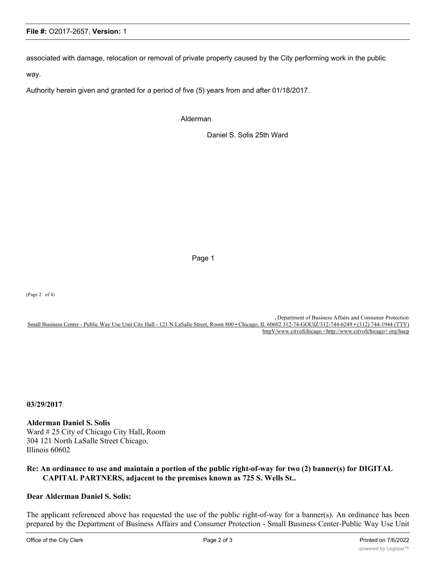#### **File #:** O2017-2657, **Version:** 1

associated with damage, relocation or removal of private property caused by the City performing work in the public

way.

Authority herein given and granted for a period of five (5) years from and after 01/18/2017.

Alderman

Daniel S. Solis 25th Ward

Page 1

(Page 2 of 4)

( Department of Business Affairs and Consumer Protection Small Business Center - Public Way Use Unit City Hall - 121 N LaSalle Street, Room 800 • Chicago, IL 60602 312-74-GOUIZ/312-744-6249 • (312) 744-1944 (TTY) httpV/www.citvofchicago <http://www.citvofchicago> org/hacp

**03/29/2017**

**Alderman Daniel S. Solis** Ward # 25 City of Chicago City Hall, Room 304 121 North LaSalle Street Chicago, Illinois 60602

### **Re: An ordinance to use and maintain a portion of the public right-of-way for two (2) banner(s) for DIGITAL CAPITAL PARTNERS, adjacent to the premises known as 725 S. Wells St..**

## **Dear Alderman Daniel S. Solis:**

The applicant referenced above has requested the use of the public right-of-way for a banner(s). An ordinance has been prepared by the Department of Business Affairs and Consumer Protection - Small Business Center-Public Way Use Unit